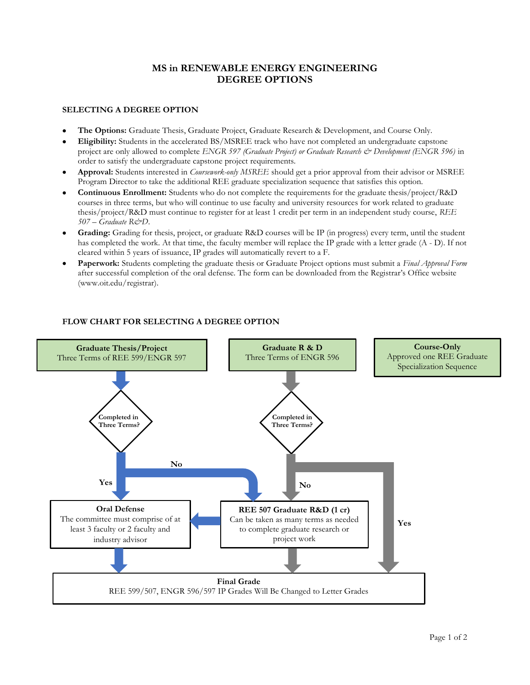## MS in RENEWABLE ENERGY ENGINEERING DEGREE OPTIONS

## SELECTING A DEGREE OPTION

- The Options: Graduate Thesis, Graduate Project, Graduate Research & Development, and Course Only.
- Eligibility: Students in the accelerated BS/MSREE track who have not completed an undergraduate capstone project are only allowed to complete ENGR 597 (Graduate Project) or Graduate Research & Development (ENGR 596) in order to satisfy the undergraduate capstone project requirements.
- Approval: Students interested in *Coursework-only MSREE* should get a prior approval from their advisor or MSREE Program Director to take the additional REE graduate specialization sequence that satisfies this option.
- Continuous Enrollment: Students who do not complete the requirements for the graduate thesis/project/R&D courses in three terms, but who will continue to use faculty and university resources for work related to graduate thesis/project/R&D must continue to register for at least 1 credit per term in an independent study course, REE  $507 -$  Graduate R&D.
- Grading: Grading for thesis, project, or graduate R&D courses will be IP (in progress) every term, until the student has completed the work. At that time, the faculty member will replace the IP grade with a letter grade (A - D). If not cleared within 5 years of issuance, IP grades will automatically revert to a F.
- Paperwork: Students completing the graduate thesis or Graduate Project options must submit a Final Approval Form after successful completion of the oral defense. The form can be downloaded from the Registrar's Office website (www.oit.edu/registrar).



## FLOW CHART FOR SELECTING A DEGREE OPTION